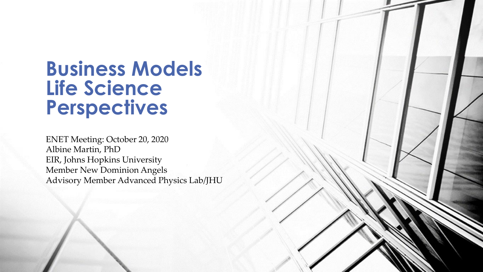# **Business Models Life Science Perspectives**

ENET Meeting: October 20, 2020 Albine Martin, PhD EIR, Johns Hopkins University Member New Dominion Angels Advisory Member Advanced Physics Lab/JHU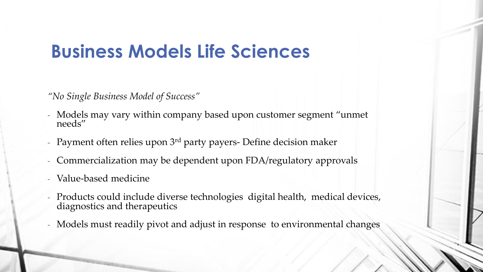# **Business Models Life Sciences**

*"No Single Business Model of Success"*

- Models may vary within company based upon customer segment "unmet needs"
- Payment often relies upon  $3<sup>rd</sup>$  party payers- Define decision maker
- Commercialization may be dependent upon FDA/regulatory approvals
- Value-based medicine
- Products could include diverse technologies digital health, medical devices, diagnostics and therapeutics
- Models must readily pivot and adjust in response to environmental changes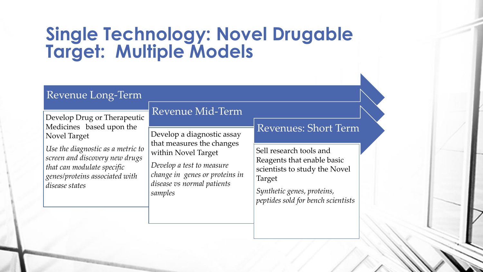# **Single Technology: Novel Drugable Target: Multiple Models**

### Revenue Long-Term

Develop Drug or Therapeutic Medicines based upon the Novel Target

*Use the diagnostic as a metric to screen and discovery new drugs that can modulate specific genes/proteins associated with disease states*

### Revenue Mid-Term

Develop a diagnostic assay that measures the changes within Novel Target

*Develop a test to measure change in genes or proteins in disease vs normal patients samples*

### Revenues: Short Term

Sell research tools and Reagents that enable basic scientists to study the Novel Target

*Synthetic genes, proteins, peptides sold for bench scientists*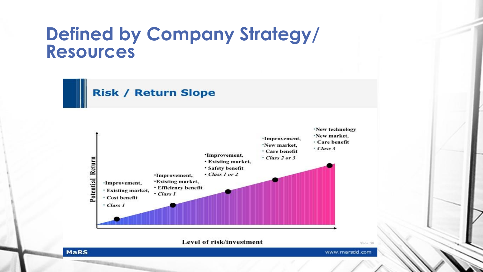### **Defined by Company Strategy/ Resources**

**Risk / Return Slope** 



Level of risk/investment

www.marsdd.com

STIHLE

#### **MaRS**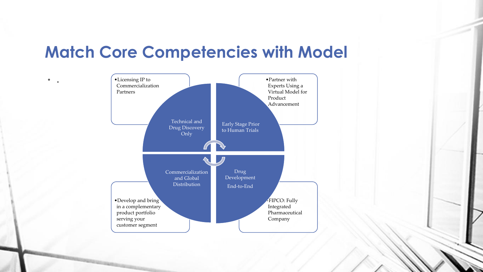### **Match Core Competencies with Model**

 $\bullet$ 

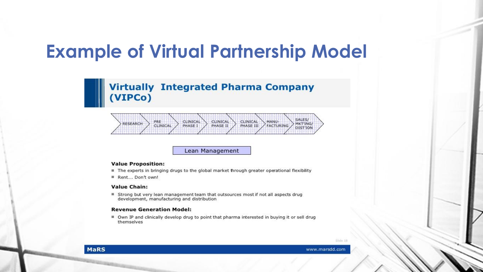# **Example of Virtual Partnership Model**

### **Virtually Integrated Pharma Company** (VIPCo)



#### Lean Management

#### **Value Proposition:**

- The experts in bringing drugs to the global market through greater operational flexibility
- Rent.... Don't own!

#### **Value Chain:**

Strong but very lean management team that outsources most if not all aspects drug development, manufacturing and distribution

#### **Revenue Generation Model:**

■ Own IP and clinically develop drug to point that pharma interested in buying it or sell drug themselves

Silde 18

**MaRS**